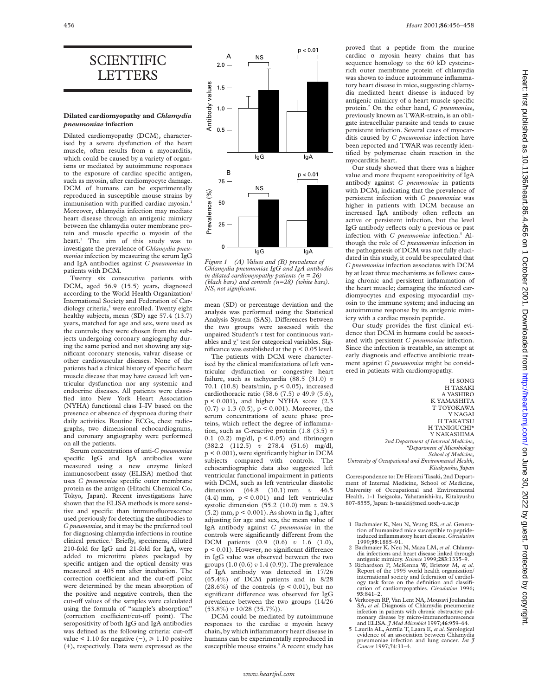## SCIENTIFIC LETTERS

## **Dilated cardiomyopathy and** *Chlamydia pneumoniae* **infection**

Dilated cardiomyopathy (DCM), characterised by a severe dysfunction of the heart muscle, often results from a myocarditis, which could be caused by a variety of organisms or mediated by autoimmune responses to the exposure of cardiac specific antigen, such as myosin, after cardiomyocyte damage. DCM of humans can be experimentally reproduced in susceptible mouse strains by immunisation with purified cardiac myosin.<sup>1</sup> Moreover, chlamydia infection may mediate heart disease through an antigenic mimicry between the chlamydia outer membrane protein and muscle specific  $\alpha$  myosin of the heart.<sup>2</sup> The aim of this study was to investigate the prevalence of *Chlamydia pneumoniae* infection by measuring the serum IgG and IgA antibodies against *C pneumoniae* in patients with DCM.

Twenty six consecutive patients with DCM, aged 56.9 (15.5) years, diagnosed according to the World Health Organization/ International Society and Federation of Cardiology criteria,<sup>3</sup> were enrolled. Twenty eight healthy subjects, mean (SD) age 57.4 (13.7) years, matched for age and sex, were used as the controls; they were chosen from the subjects undergoing coronary angiography during the same period and not showing any significant coronary stenosis, valvar disease or other cardiovascular diseases. None of the patients had a clinical history of specific heart muscle disease that may have caused left ventricular dysfunction nor any systemic and endocrine diseases. All patients were classified into New York Heart Association (NYHA) functional class I–IV based on the presence or absence of dyspnoea during their daily activities. Routine ECGs, chest radiographs, two dimensional echocardiograms, and coronary angiography were performed on all the patients.

Serum concentrations of anti-*C pneumoniae* specific IgG and IgA antibodies were measured using a new enzyme linked immunosorbent assay (ELISA) method that uses *C pneumoniae* specific outer membrane protein as the antigen (Hitachi Chemical Co, Tokyo, Japan). Recent investigations have shown that the ELISA methods is more sensitive and specific than immunofluorescence used previously for detecting the antibodies to *C pneumoniae,* and it may be the preferred tool for diagnosing chlamydia infections in routine clinical practice.4 Briefly, specimens, diluted 210-fold for IgG and 21-fold for IgA, were added to microtitre plates packaged by specific antigen and the optical density was measured at 405 nm after incubation. The correction coefficient and the cut-off point were determined by the mean absorption of the positive and negative controls, then the cut-off values of the samples were calculated using the formula of "sample's absorption" (correction coefficient/cut-off point). The seropositivity of both IgG and IgA antibodies was defined as the following criteria: cut-off value < 1.10 for negative  $(-)$ , ≥ 1.10 positive (+), respectively. Data were expressed as the



*Figure 1 (A) Values and (B) prevalence of Chlamydia pneumoniae IgG and IgA antibodies in dilated cardiomyopathy patients (n = 26) (black bars) and controls (n=28) (white bars). NS, not significant.*

mean (SD) or percentage deviation and the analysis was performed using the Statistical Analysis System (SAS). Differences between the two groups were assessed with the unpaired Student's *t* test for continuous variables and  $\chi^2$  test for categorical variables. Significance was established at the p < 0.05 level.

The patients with DCM were characterised by the clinical manifestations of left ventricular dysfunction or congestive heart failure, such as tachycardia (88.5 (31.0) *v* 70.1 (10.8) beats/min, p < 0.05), increased cardiothoracic ratio (58.6 (7.5) *v* 49.9 (5.6), p < 0.001), and higher NYHA score (2.3  $(0.7)$  v 1.3  $(0.5)$ , p < 0.001). Moreover, the serum concentrations of acute phase proteins, which reflect the degree of inflammation, such as C-reactive protein (1.8 (3.5) *v* 0.1 (0.2) mg/dl, p < 0.05) and fibrinogen (382.2 (112.5) *v* 278.4 (51.6) mg/dl, p < 0.001), were significantly higher in DCM subjects compared with controls. The echocardiographic data also suggested left ventricular functional impairment in patients with DCM, such as left ventricular diastolic dimension (64.8 (10.1) mm *v* 46.5  $(4.4)$  mm,  $p < 0.001$ ) and left ventricular systolic dimension (55.2 (10.0) mm *v* 29.3 (5.2) mm, p < 0.001). As shown in fig 1, after adjusting for age and sex, the mean value of IgA antibody against *C pneumoniae* in the controls were significantly different from the DCM patients (0.9 (0.6) *v* 1.6 (1.0),  $p < 0.01$ ). However, no significant difference in IgG value was observed between the two groups (1.0 (0.6) *v* 1.4 (0.9)). The prevalence of IgA antibody was detected in 17/26 (65.4%) of DCM patients and in 8/28  $(28.6\%)$  of the controls  $(p < 0.01)$ , but no significant difference was observed for IgG prevalence between the two groups (14/26 (53.8%) *v* 10/28 (35.7%)).

DCM could be mediated by autoimmune responses to the cardiac  $\alpha$  myosin heavy chain, by which inflammatory heart disease in humans can be experimentally reproduced in susceptible mouse strains.<sup>5</sup> A recent study has

proved that a peptide from the murine cardiac  $\alpha$  myosin heavy chains that has sequence homology to the 60 kD cysteinerich outer membrane protein of chlamydia was shown to induce autoimmune inflammatory heart disease in mice, suggesting chlamydia mediated heart disease is induced by antigenic mimicry of a heart muscle specific protein.2 On the other hand, *C pneumoniae*, previously known as TWAR-strain, is an obligate intracellular parasite and tends to cause persistent infection. Several cases of myocarditis caused by *C pneumoniae* infection have been reported and TWAR was recently identified by polymerase chain reaction in the myocarditis heart.

Our study showed that there was a higher value and more frequent seropositivity of IgA antibody against *C pneumoniae* in patients with DCM, indicating that the prevalence of persistent infection with *C pneumoniae* was higher in patients with DCM because an increased IgA antibody often reflects an active or persistent infection, but the level IgG antibody reflects only a previous or past infection with *C pneumoniae* infection.<sup>5</sup> Although the role of *C pneumoniae* infection in the pathogenesis of DCM was not fully elucidated in this study, it could be speculated that *C pneumoniae* infection associates with DCM by at least three mechanisms as follows: causing chronic and persistent inflammation of the heart muscle; damaging the infected cardiomyocytes and exposing myocardial myosin to the immune system; and inducing an autoimmune response by its antigenic mimicry with a cardiac myosin peptide.

Our study provides the first clinical evidence that DCM in humans could be associated with persistent *C pneumoniae* infection. Since the infection is treatable, an attempt at early diagnosis and effective antibiotic treatment against *C pneumoniae* might be considered in patients with cardiomyopathy.

H SONG H TASAKI A YASHIRO K YAMASHITA T TOYOKAWA Y NAGAI H TAKATSU H TANIGUCHI\* Y NAKASHIMA *2nd Department of Internal Medicine, \*Department of Microbiology School of Medicine, University of Occupational and Environmental Health, Kitakyushu, Japan*

Correspondence to: Dr Hiromi Tasaki, 2nd Department of Internal Medicine, School of Medicine, University of Occupational and Environmental Health, 1-1 Iseigaoka, Yahatanishi-ku, Kitakyushu 807-8555, Japan: h-tasaki@med.uoeh-u.ac.jp

- 2 Bachmaier K, Neu N, Maza LM, *et al*. Chlamydia infections and heart disease linked through antigenic mimicry. *Science* 1999;**283**:1335–9.
- 3 Richardson P, McKenna W, Bristow M, *et al*. Report of the 1995 world health organization/ international society and federation of cardiol-ogy task force on the definition and classification of cardiomyopathies. *Circulation* 1996; **93**:841–2.
- 4 Verkooyen RP, Van Lent NA, Mousavi Joulandan SA, *et al*. Diagnosis of Chlamydia pneumoniae infection in patients with chronic obstructive pulmonary disease by micro-immunofluorescence and ELISA. *J Med Microbiol* 1997;**46**:959–64.
- 5 Laurila AL, Anttila T, Laara E, *et al*. Serological evidence of an association between Chlamydia pneumoniae infection and lung cancer. *Int J Cancer* 1997;**74**:31–4.

<sup>1</sup> Bachmaier K, Neu N, Yeung RS, *et al*. Generation of humanized mice susceptible to peptide-induced inflammatory heart disease. *Circulation* 1999;**99**:1885–91.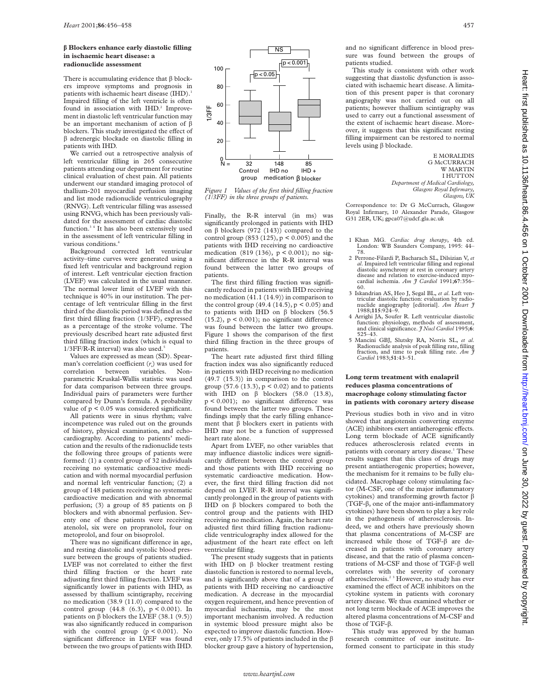## **â Blockers enhance early diastolic filling in ischaemic heart disease: a radionuclide assessment**

There is accumulating evidence that  $\beta$  blockers improve symptoms and prognosis in patients with ischaemic heart disease (IHD).<sup>1</sup> Impaired filling of the left ventricle is often found in association with IHD.<sup>2</sup> Improvement in diastolic left ventricular function may be an important mechanism of action of â blockers. This study investigated the effect of  $\beta$  adrenergic blockade on diastolic filling in patients with IHD.

We carried out a retrospective analysis of left ventricular filling in 265 consecutive patients attending our department for routine clinical evaluation of chest pain. All patients underwent our standard imaging protocol of thallium-201 myocardial perfusion imaging and list mode radionuclide ventriculography (RNVG). Left ventricular filling was assessed using RNVG, which has been previously validated for the assessment of cardiac diastolic function.3 4 It has also been extensively used in the assessment of left ventricular filling in various conditions.<sup>4</sup>

Background corrected left ventricular activity–time curves were generated using a fixed left ventricular and background region of interest. Left ventricular ejection fraction (LVEF) was calculated in the usual manner. The normal lower limit of LVEF with this technique is 40% in our institution. The percentage of left ventricular filling in the first third of the diastolic period was defined as the first third filling fraction (1/3FF), expressed as a percentage of the stroke volume. The previously described heart rate adjusted first third filling fraction index (which is equal to 1/3FF/R-R interval) was also used.5

Values are expressed as mean (SD). Spearman's correlation coefficient (r<sub>s</sub>) was used for correlation between variables. Nonparametric Kruskal-Wallis statistic was used for data comparison between three groups. Individual pairs of parameters were further compared by Dunn's formula. A probability value of  $p < 0.05$  was considered significant.

All patients were in sinus rhythm; valve incompetence was ruled out on the grounds of history, physical examination, and echocardiography. According to patients' medication and the results of the radionuclide tests the following three groups of patients were formed: (1) a control group of 32 individuals receiving no systematic cardioactive medication and with normal myocardial perfusion and normal left ventricular function; (2) a group of 148 patients receiving no systematic cardioactive medication and with abnormal perfusion; (3) a group of 85 patients on  $\beta$ blockers and with abnormal perfusion. Seventy one of these patients were receiving atenolol, six were on propranolol, four on metoprolol, and four on bisoprolol.

There was no significant difference in age, and resting diastolic and systolic blood pressure between the groups of patients studied. LVEF was not correlated to either the first third filling fraction or the heart rate adjusting first third filling fraction. LVEF was significantly lower in patients with IHD, as assessed by thallium scintigraphy, receiving no medication (38.9 (11.0) compared to the control group (44.8 (6.3), p < 0.001). In patients on  $\beta$  blockers the LVEF (38.1 (9.5)) was also significantly reduced in comparison with the control group  $(p < 0.001)$ . No significant difference in LVEF was found between the two groups of patients with IHD.



*Figure 1 Values of the first third filling fraction (1/3FF) in the three groups of patients.*

Finally, the R-R interval (in ms) was significantly prolonged in patients with IHD on  $\beta$  blockers (972 (143)) compared to the control group (853 (125), p < 0.005) and the patients with IHD receiving no cardioactive medication (819 (136), p < 0.001); no significant difference in the R-R interval was found between the latter two groups of patients.

The first third filling fraction was significantly reduced in patients with IHD receiving no medication (41.1 (14.9)) in comparison to the control group  $(49.4 (14.5), p < 0.05)$  and to patients with IHD on  $\beta$  blockers (56.5)  $(15.2)$ ,  $p < 0.001$ ); no significant difference was found between the latter two groups. Figure 1 shows the comparison of the first third filling fraction in the three groups of patients.

The heart rate adjusted first third filling fraction index was also significantly reduced in patients with IHD receiving no medication (49.7 (15.3)) in comparison to the control group (57.6 (13.3), p < 0.02) and to patients with IHD on  $\beta$  blockers (58.0 (13.8),  $p < 0.001$ ); no significant difference was found between the latter two groups. These findings imply that the early filling enhancement that  $\beta$  blockers exert in patients with IHD may not be a function of suppressed heart rate alone.

Apart from LVEF, no other variables that may influence diastolic indices were significantly different between the control group and those patients with IHD receiving no systematic cardioactive medication. However, the first third filling fraction did not depend on LVEF. R-R interval was significantly prolonged in the group of patients with IHD on  $\beta$  blockers compared to both the control group and the patients with IHD receiving no medication. Again, the heart rate adjusted first third filling fraction radionuclide ventriculography index allowed for the adjustment of the heart rate effect on left ventricular filling.

The present study suggests that in patients with IHD on  $\beta$  blocker treatment resting diastolic function is restored to normal levels, and is significantly above that of a group of patients with IHD receiving no cardioactive medication. A decrease in the myocardial oxygen requirement, and hence prevention of myocardial ischaemia, may be the most important mechanism involved. A reduction in systemic blood pressure might also be expected to improve diastolic function. However, only 17.5% of patients included in the  $\beta$ blocker group gave a history of hypertension,

and no significant difference in blood pressure was found between the groups of patients studied.

This study is consistent with other work suggesting that diastolic dysfunction is associated with ischaemic heart disease. A limitation of this present paper is that coronary angiography was not carried out on all patients; however thallium scintigraphy was used to carry out a functional assessment of the extent of ischaemic heart disease. Moreover, it suggests that this significant resting filling impairment can be restored to normal levels using  $\beta$  blockade.

> E MORALIDIS G McCURRACH W MARTIN I HUTTON *Department of Medical Cardiology, Glasgow Royal Infirmary, Glasgow, UK*

Correspondence to: Dr G McCurrach, Glasgow Royal Infirmary, 10 Alexander Parade, Glasgow G31 2ER, UK; gpca07@udcf.gla.ac.uk

- 1 Khan MG. *Cardiac drug therapy*, 4th ed. London: WB Saunders Company, 1995: 44– 78.
- 2 Perrone-Filardi P, Bacharach SL, Dilsizian V, *et al*. Impaired left ventricular filling and regional diastolic asynchrony at rest in coronary artery disease and relation to exercise-induced myocardial ischemia. *Am J Cardiol* 1991;**67**:356– 60.
- 3 Iskandrian AS, Heo J, Segal BL, *et al*. Left ventricular diastolic function: evaluation by radionuclide angiography [editorial]. *Am Heart J* 1988;**115**:924–9.
- 4 Arrighi JA, Soufer R. Left ventricular diastolic function: physiology, methods of assessment, and clinical significance. *J Nucl Cardiol* 1995;**6**: 525–43.
- 5 Mancini GBJ, Slutsky RA, Norris SL, *et al*. Radionuclide analysis of peak filling rate, filling fraction, and time to peak filling rate. *Am J Cardiol* 1983;**51**:43–51.

## **Long term treatment with enalapril reduces plasma concentrations of macrophage colony stimulating factor in patients with coronary artery disease**

Previous studies both in vivo and in vitro showed that angiotensin converting enzyme (ACE) inhibitors exert antiatherogenic effects. Long term blockade of ACE significantly reduces atherosclerosis related events in patients with coronary artery disease.<sup>1</sup> These results suggest that this class of drugs may present antiatherogenic properties; however, the mechanism for it remains to be fully elucidated. Macrophage colony stimulating factor (M-CSF, one of the major inflammatory cytokines) and transforming growth factor  $\beta$ (TGF-â, one of the major anti-inflammatory cytokines) have been shown to play a key role in the pathogenesis of atherosclerosis. Indeed, we and others have previously shown that plasma concentrations of M-CSF are increased while those of TGF- $\beta$  are decreased in patients with coronary artery disease, and that the ratio of plasma concentrations of M-CSF and those of TGF-â well correlates with the severity of coronary atherosclerosis.<sup>2</sup><sup>3</sup> However, no study has ever examined the effect of ACE inhibitors on the cytokine system in patients with coronary artery disease. We thus examined whether or not long term blockade of ACE improves the altered plasma concentrations of M-CSF and those of TGF-â.

This study was approved by the human research committee of our institute. Informed consent to participate in this study